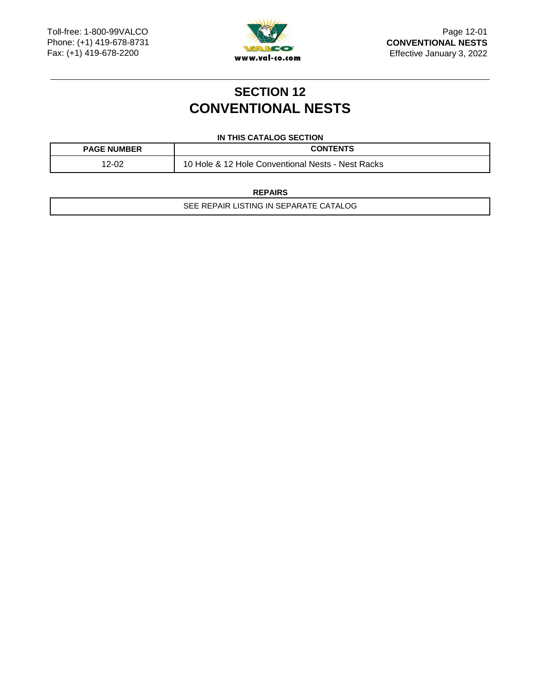

## **SECTION 12 CONVENTIONAL NESTS**

#### **IN THIS CATALOG SECTION**

| <b>PAGE NUMBER</b> | <b>CONTENTS</b>                                           |
|--------------------|-----------------------------------------------------------|
| 12-0C<br>∙∪∠       | 10<br>. & 12 Hole Conventional Nests - Nest Racks<br>Hole |

**REPAIRS**

SEE REPAIR LISTING IN SEPARATE CATALOG